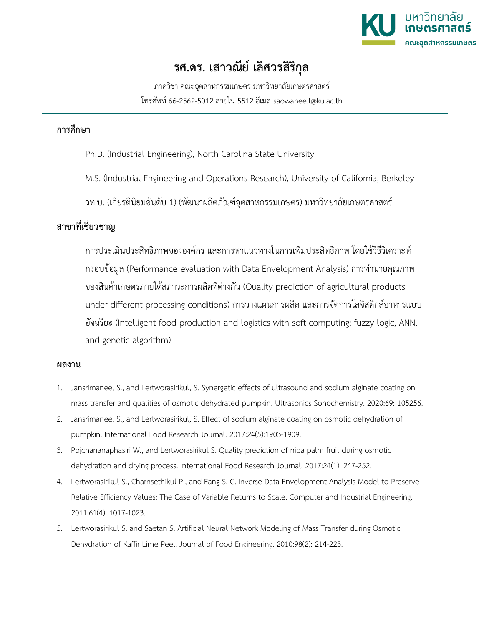

## **รศ.ดร. เสาวณีย เลิศวรสิริกุล**

ภาควิชา คณะอุตสาหกรรมเกษตร มหาวิทยาลัยเกษตรศาสตร โทรศัพท 66-2562-5012 สายใน 5512 อีเมล saowanee.l@ku.ac.th

## **การศึกษา**

- Ph.D. (Industrial Engineering), North Carolina State University
- M.S. (Industrial Engineering and Operations Research), University of California, Berkeley
- วท.บ. (เกียรตินิยมอันดับ 1) (พัฒนาผลิตภัณฑอุตสาหกรรมเกษตร) มหาวิทยาลัยเกษตรศาสตร

## **สาขาที่เชี่ยวชาญ**

การประเมินประสิทธิภาพขององคกร และการหาแนวทางในการเพิ่มประสิทธิภาพ โดยใชวิธีวิเคราะห กรอบขอมูล (Performance evaluation with Data Envelopment Analysis) การทำนายคุณภาพ ของสินค้าเกษตรภายใต้สภาวะการผลิตที่ต่างกัน (Quality prediction of agricultural products under different processing conditions) การวางแผนการผลิต และการจัดการโลจิสติกสอาหารแบบ อัจฉริยะ (Intelligent food production and logistics with soft computing: fuzzy logic, ANN, and genetic algorithm)

## **ผลงาน**

- 1. Jansrimanee, S., and Lertworasirikul, S. Synergetic effects of ultrasound and sodium alginate coating on mass transfer and qualities of osmotic dehydrated pumpkin. Ultrasonics Sonochemistry. 2020:69: 105256.
- 2. Jansrimanee, S., and Lertworasirikul, S. Effect of sodium alginate coating on osmotic dehydration of pumpkin. International Food Research Journal. 2017:24(5):1903-1909.
- 3. Pojchananaphasiri W., and Lertworasirikul S. Quality prediction of nipa palm fruit during osmotic dehydration and drying process. International Food Research Journal. 2017:24(1): 247-252.
- 4. Lertworasirikul S., Charnsethikul P., and Fang S.-C. Inverse Data Envelopment Analysis Model to Preserve Relative Efficiency Values: The Case of Variable Returns to Scale. Computer and Industrial Engineering. 2011:61(4): 1017-1023.
- 5. Lertworasirikul S. and Saetan S. Artificial Neural Network Modeling of Mass Transfer during Osmotic Dehydration of Kaffir Lime Peel. Journal of Food Engineering. 2010:98(2): 214-223.